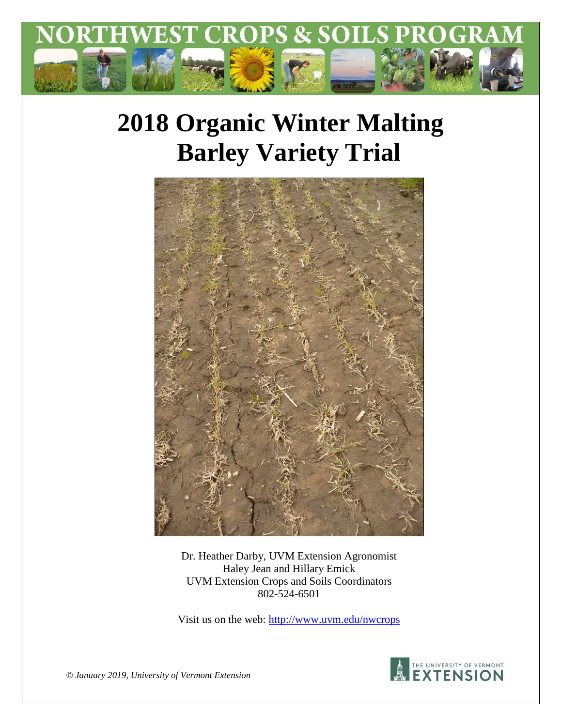

# **2018 Organic Winter Malting Barley Variety Trial**



Dr. Heather Darby, UVM Extension Agronomist Haley Jean and Hillary Emick UVM Extension Crops and Soils Coordinators 802-524-6501

Visit us on the web:<http://www.uvm.edu/nwcrops>



*© January 2019, University of Vermont Extension*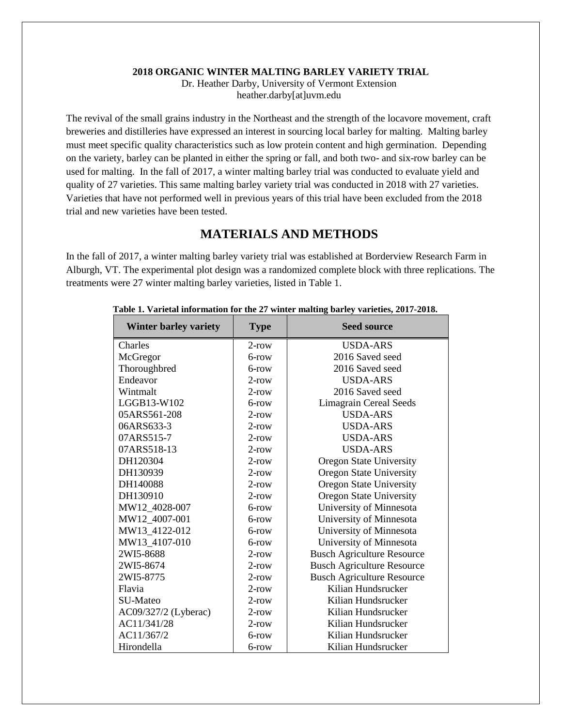#### **2018 ORGANIC WINTER MALTING BARLEY VARIETY TRIAL**

Dr. Heather Darby, University of Vermont Extension heather.darby[at]uvm.edu

The revival of the small grains industry in the Northeast and the strength of the locavore movement, craft breweries and distilleries have expressed an interest in sourcing local barley for malting. Malting barley must meet specific quality characteristics such as low protein content and high germination. Depending on the variety, barley can be planted in either the spring or fall, and both two- and six-row barley can be used for malting. In the fall of 2017, a winter malting barley trial was conducted to evaluate yield and quality of 27 varieties. This same malting barley variety trial was conducted in 2018 with 27 varieties. Varieties that have not performed well in previous years of this trial have been excluded from the 2018 trial and new varieties have been tested.

## **MATERIALS AND METHODS**

In the fall of 2017, a winter malting barley variety trial was established at Borderview Research Farm in Alburgh, VT. The experimental plot design was a randomized complete block with three replications. The treatments were 27 winter malting barley varieties, listed in Table 1.

| <b>Winter barley variety</b> | <b>Type</b> | <b>Seed source</b>                |
|------------------------------|-------------|-----------------------------------|
| Charles                      | $2$ -row    | <b>USDA-ARS</b>                   |
| McGregor                     | 6-row       | 2016 Saved seed                   |
| Thoroughbred                 | 6-row       | 2016 Saved seed                   |
| Endeavor                     | $2$ -row    | <b>USDA-ARS</b>                   |
| Wintmalt                     | $2$ -row    | 2016 Saved seed                   |
| LGGB13-W102                  | $6$ -row    | <b>Limagrain Cereal Seeds</b>     |
| 05ARS561-208                 | $2$ -row    | <b>USDA-ARS</b>                   |
| 06ARS633-3                   | $2$ -row    | <b>USDA-ARS</b>                   |
| 07ARS515-7                   | $2$ -row    | <b>USDA-ARS</b>                   |
| 07ARS518-13                  | $2$ -row    | <b>USDA-ARS</b>                   |
| DH120304                     | $2$ -row    | <b>Oregon State University</b>    |
| DH130939                     | $2$ -row    | <b>Oregon State University</b>    |
| DH140088                     | $2$ -row    | <b>Oregon State University</b>    |
| DH130910                     | $2$ -row    | <b>Oregon State University</b>    |
| MW12_4028-007                | $6$ -row    | University of Minnesota           |
| MW12_4007-001                | 6-row       | University of Minnesota           |
| MW13_4122-012                | 6-row       | University of Minnesota           |
| MW13_4107-010                | $6$ -row    | University of Minnesota           |
| 2WI5-8688                    | $2$ -row    | <b>Busch Agriculture Resource</b> |
| 2WI5-8674                    | $2$ -row    | <b>Busch Agriculture Resource</b> |
| 2WI5-8775                    | $2$ -row    | <b>Busch Agriculture Resource</b> |
| Flavia                       | $2$ -row    | Kilian Hundsrucker                |
| SU-Mateo                     | $2$ -row    | Kilian Hundsrucker                |
| AC09/327/2 (Lyberac)         | $2$ -row    | Kilian Hundsrucker                |
| AC11/341/28                  | $2$ -row    | Kilian Hundsrucker                |
| AC11/367/2                   | $6$ -row    | Kilian Hundsrucker                |
| Hirondella                   | 6-row       | Kilian Hundsrucker                |

#### **Table 1. Varietal information for the 27 winter malting barley varieties, 2017-2018.**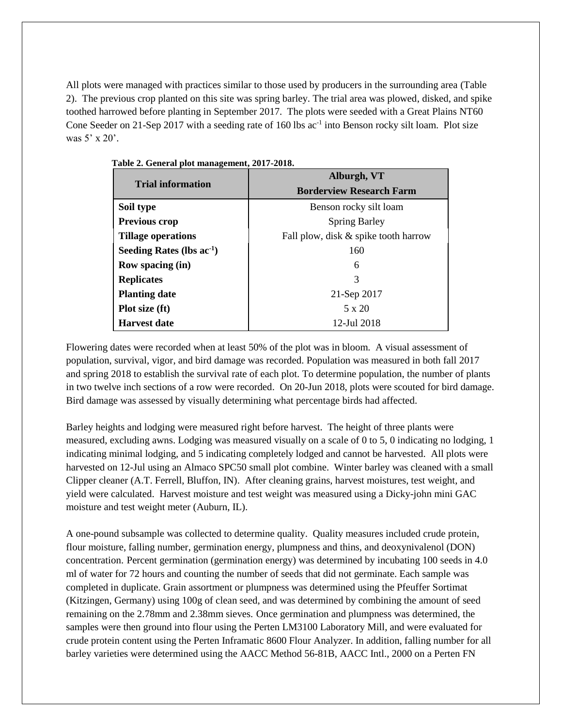All plots were managed with practices similar to those used by producers in the surrounding area (Table 2). The previous crop planted on this site was spring barley. The trial area was plowed, disked, and spike toothed harrowed before planting in September 2017. The plots were seeded with a Great Plains NT60 Cone Seeder on 21-Sep 2017 with a seeding rate of 160 lbs  $ac^{-1}$  into Benson rocky silt loam. Plot size was 5' x 20'.

|                                | Alburgh, VT                          |  |  |  |
|--------------------------------|--------------------------------------|--|--|--|
| <b>Trial information</b>       | <b>Borderview Research Farm</b>      |  |  |  |
| Soil type                      | Benson rocky silt loam               |  |  |  |
| Previous crop                  | <b>Spring Barley</b>                 |  |  |  |
| <b>Tillage operations</b>      | Fall plow, disk & spike tooth harrow |  |  |  |
| Seeding Rates (lbs $ac^{-1}$ ) | 160                                  |  |  |  |
| <b>Row spacing (in)</b>        | 6                                    |  |  |  |
| <b>Replicates</b>              | 3                                    |  |  |  |
| <b>Planting date</b>           | 21-Sep 2017                          |  |  |  |
| Plot size (ft)                 | 5 x 20                               |  |  |  |
| <b>Harvest date</b>            | 12-Jul 2018                          |  |  |  |

**Table 2. General plot management, 2017-2018.**

Flowering dates were recorded when at least 50% of the plot was in bloom. A visual assessment of population, survival, vigor, and bird damage was recorded. Population was measured in both fall 2017 and spring 2018 to establish the survival rate of each plot. To determine population, the number of plants in two twelve inch sections of a row were recorded. On 20-Jun 2018, plots were scouted for bird damage. Bird damage was assessed by visually determining what percentage birds had affected.

Barley heights and lodging were measured right before harvest. The height of three plants were measured, excluding awns. Lodging was measured visually on a scale of 0 to 5, 0 indicating no lodging, 1 indicating minimal lodging, and 5 indicating completely lodged and cannot be harvested. All plots were harvested on 12-Jul using an Almaco SPC50 small plot combine. Winter barley was cleaned with a small Clipper cleaner (A.T. Ferrell, Bluffon, IN). After cleaning grains, harvest moistures, test weight, and yield were calculated. Harvest moisture and test weight was measured using a Dicky-john mini GAC moisture and test weight meter (Auburn, IL).

A one-pound subsample was collected to determine quality. Quality measures included crude protein, flour moisture, falling number, germination energy, plumpness and thins, and deoxynivalenol (DON) concentration. Percent germination (germination energy) was determined by incubating 100 seeds in 4.0 ml of water for 72 hours and counting the number of seeds that did not germinate. Each sample was completed in duplicate. Grain assortment or plumpness was determined using the Pfeuffer Sortimat (Kitzingen, Germany) using 100g of clean seed, and was determined by combining the amount of seed remaining on the 2.78mm and 2.38mm sieves. Once germination and plumpness was determined, the samples were then ground into flour using the Perten LM3100 Laboratory Mill, and were evaluated for crude protein content using the Perten Inframatic 8600 Flour Analyzer. In addition, falling number for all barley varieties were determined using the AACC Method 56-81B, AACC Intl., 2000 on a Perten FN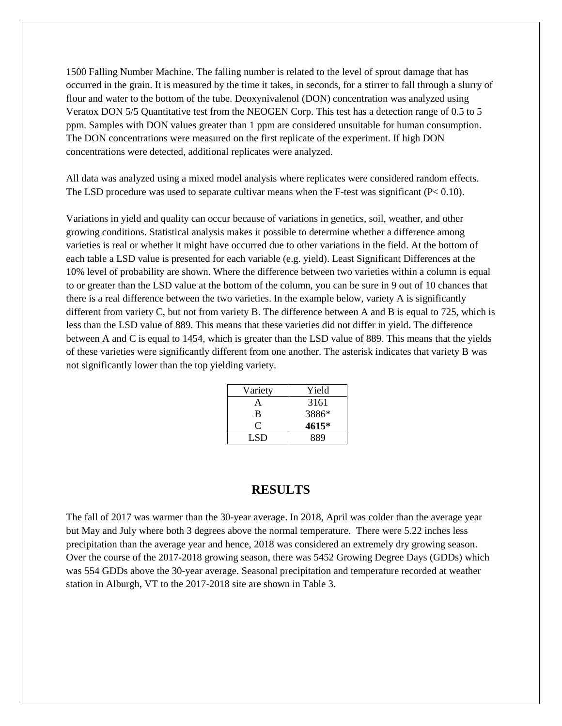1500 Falling Number Machine. The falling number is related to the level of sprout damage that has occurred in the grain. It is measured by the time it takes, in seconds, for a stirrer to fall through a slurry of flour and water to the bottom of the tube. Deoxynivalenol (DON) concentration was analyzed using Veratox DON 5/5 Quantitative test from the NEOGEN Corp. This test has a detection range of 0.5 to 5 ppm. Samples with DON values greater than 1 ppm are considered unsuitable for human consumption. The DON concentrations were measured on the first replicate of the experiment. If high DON concentrations were detected, additional replicates were analyzed.

All data was analyzed using a mixed model analysis where replicates were considered random effects. The LSD procedure was used to separate cultivar means when the F-test was significant (P< 0.10).

Variations in yield and quality can occur because of variations in genetics, soil, weather, and other growing conditions. Statistical analysis makes it possible to determine whether a difference among varieties is real or whether it might have occurred due to other variations in the field. At the bottom of each table a LSD value is presented for each variable (e.g. yield). Least Significant Differences at the 10% level of probability are shown. Where the difference between two varieties within a column is equal to or greater than the LSD value at the bottom of the column, you can be sure in 9 out of 10 chances that there is a real difference between the two varieties. In the example below, variety A is significantly different from variety C, but not from variety B. The difference between A and B is equal to 725, which is less than the LSD value of 889. This means that these varieties did not differ in yield. The difference between A and C is equal to 1454, which is greater than the LSD value of 889. This means that the yields of these varieties were significantly different from one another. The asterisk indicates that variety B was not significantly lower than the top yielding variety.

| Variety | Yield |
|---------|-------|
| А       | 3161  |
| B       | 3886* |
| 0       | 4615* |
| LSD     | 889   |

## **RESULTS**

The fall of 2017 was warmer than the 30-year average. In 2018, April was colder than the average year but May and July where both 3 degrees above the normal temperature. There were 5.22 inches less precipitation than the average year and hence, 2018 was considered an extremely dry growing season. Over the course of the 2017-2018 growing season, there was 5452 Growing Degree Days (GDDs) which was 554 GDDs above the 30-year average. Seasonal precipitation and temperature recorded at weather station in Alburgh, VT to the 2017-2018 site are shown in Table 3.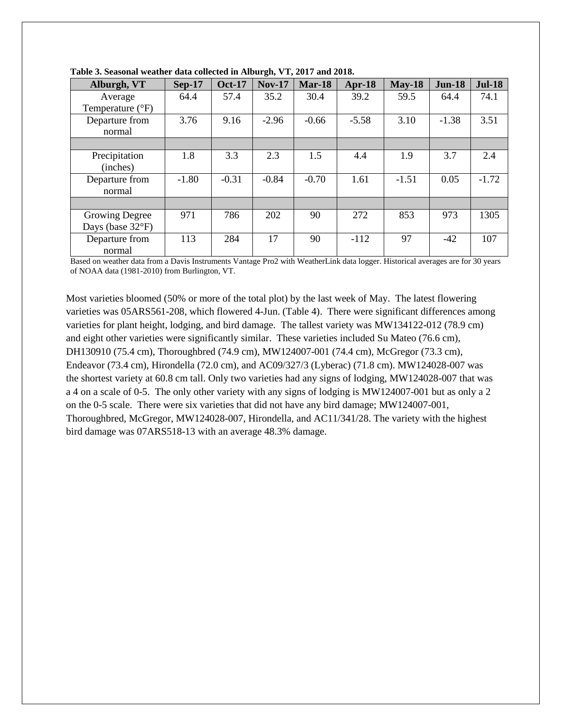| Alburgh, VT                | <b>Sep-17</b> | <b>Oct-17</b> | <b>Nov-17</b> | Mar-18  | Apr- $18$ | $May-18$ | <b>Jun-18</b> | <b>Jul-18</b> |
|----------------------------|---------------|---------------|---------------|---------|-----------|----------|---------------|---------------|
|                            |               |               |               |         |           |          |               |               |
| Average                    | 64.4          | 57.4          | 35.2          | 30.4    | 39.2      | 59.5     | 64.4          | 74.1          |
| Temperature $(^{\circ}F)$  |               |               |               |         |           |          |               |               |
| Departure from             | 3.76          | 9.16          | $-2.96$       | $-0.66$ | $-5.58$   | 3.10     | $-1.38$       | 3.51          |
| normal                     |               |               |               |         |           |          |               |               |
|                            |               |               |               |         |           |          |               |               |
| Precipitation              | 1.8           | 3.3           | 2.3           | 1.5     | 4.4       | 1.9      | 3.7           | 2.4           |
| (inches)                   |               |               |               |         |           |          |               |               |
| Departure from             | $-1.80$       | $-0.31$       | $-0.84$       | $-0.70$ | 1.61      | $-1.51$  | 0.05          | $-1.72$       |
| normal                     |               |               |               |         |           |          |               |               |
|                            |               |               |               |         |           |          |               |               |
| Growing Degree             | 971           | 786           | 202           | 90      | 272       | 853      | 973           | 1305          |
| Days (base $32^{\circ}F$ ) |               |               |               |         |           |          |               |               |
| Departure from             | 113           | 284           | 17            | 90      | $-112$    | 97       | $-42$         | 107           |
| normal                     |               |               |               |         |           |          |               |               |

**Table 3. Seasonal weather data collected in Alburgh, VT, 2017 and 2018.**

Based on weather data from a Davis Instruments Vantage Pro2 with WeatherLink data logger. Historical averages are for 30 years of NOAA data (1981-2010) from Burlington, VT.

Most varieties bloomed (50% or more of the total plot) by the last week of May. The latest flowering varieties was 05ARS561-208, which flowered 4-Jun. (Table 4). There were significant differences among varieties for plant height, lodging, and bird damage. The tallest variety was MW134122-012 (78.9 cm) and eight other varieties were significantly similar. These varieties included Su Mateo (76.6 cm), DH130910 (75.4 cm), Thoroughbred (74.9 cm), MW124007-001 (74.4 cm), McGregor (73.3 cm), Endeavor (73.4 cm), Hirondella (72.0 cm), and AC09/327/3 (Lyberac) (71.8 cm). MW124028-007 was the shortest variety at 60.8 cm tall. Only two varieties had any signs of lodging, MW124028-007 that was a 4 on a scale of 0-5. The only other variety with any signs of lodging is MW124007-001 but as only a 2 on the 0-5 scale. There were six varieties that did not have any bird damage; MW124007-001, Thoroughbred, McGregor, MW124028-007, Hirondella, and AC11/341/28. The variety with the highest bird damage was 07ARS518-13 with an average 48.3% damage.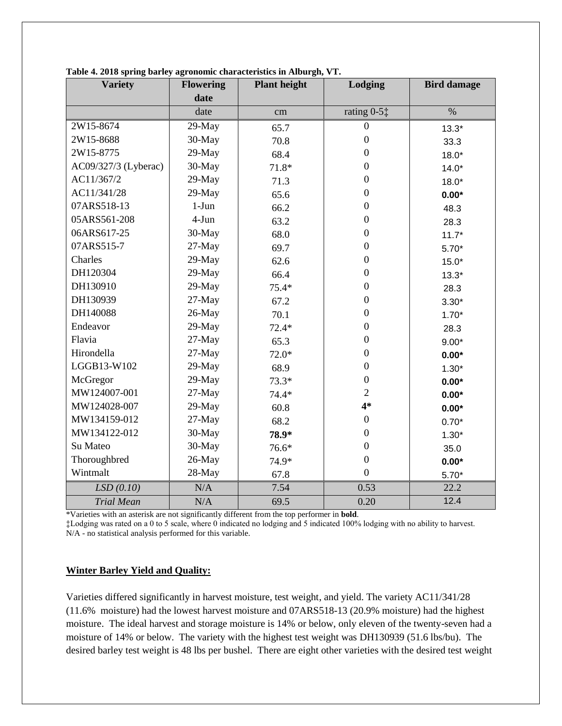| <b>Variety</b>       | <b>Flowering</b> | <b>Plant height</b> | Lodging                                      | <b>Bird damage</b> |  |
|----------------------|------------------|---------------------|----------------------------------------------|--------------------|--|
|                      | date             |                     |                                              |                    |  |
|                      | date             | cm                  | rating $0-5$ <sup><math>\dagger</math></sup> | $\%$               |  |
| 2W15-8674            | 29-May           | 65.7                | $\overline{0}$                               | $13.3*$            |  |
| 2W15-8688            | 30-May           | 70.8                | $\boldsymbol{0}$                             | 33.3               |  |
| 2W15-8775            | 29-May           | 68.4                | $\mathbf{0}$                                 | $18.0*$            |  |
| AC09/327/3 (Lyberac) | 30-May           | $71.8*$             | $\boldsymbol{0}$                             | $14.0*$            |  |
| AC11/367/2           | 29-May           | 71.3                | $\overline{0}$                               | $18.0*$            |  |
| AC11/341/28          | 29-May           | 65.6                | $\mathbf{0}$                                 | $0.00*$            |  |
| 07ARS518-13          | $1-J$ un         | 66.2                | $\boldsymbol{0}$                             | 48.3               |  |
| 05ARS561-208         | $4-Jun$          | 63.2                | $\boldsymbol{0}$                             | 28.3               |  |
| 06ARS617-25          | 30-May           | 68.0                | $\mathbf{0}$                                 | $11.7*$            |  |
| 07ARS515-7           | $27-May$         | 69.7                | $\boldsymbol{0}$                             | $5.70*$            |  |
| Charles              | 29-May           | 62.6                | $\boldsymbol{0}$                             | $15.0*$            |  |
| DH120304             | 29-May           | 66.4                | $\boldsymbol{0}$                             | $13.3*$            |  |
| DH130910             | 29-May           | $75.4*$             | $\mathbf{0}$                                 | 28.3               |  |
| DH130939             | 27-May           | 67.2                | $\mathbf{0}$                                 | $3.30*$            |  |
| DH140088             | 26-May           | 70.1                | $\boldsymbol{0}$                             | $1.70*$            |  |
| Endeavor             | 29-May           | $72.4*$             | $\boldsymbol{0}$                             | 28.3               |  |
| Flavia               | 27-May           | 65.3                | $\overline{0}$                               | $9.00*$            |  |
| Hirondella           | 27-May           | $72.0*$             | $\boldsymbol{0}$                             | $0.00*$            |  |
| LGGB13-W102          | 29-May           | 68.9                | $\boldsymbol{0}$                             | $1.30*$            |  |
| McGregor             | 29-May           | $73.3*$             | $\overline{0}$                               | $0.00*$            |  |
| MW124007-001         | 27-May           | $74.4*$             | $\overline{2}$                               | $0.00*$            |  |
| MW124028-007         | 29-May           | 60.8                | $4*$                                         | $0.00*$            |  |
| MW134159-012         | $27-May$         | 68.2                | $\boldsymbol{0}$                             | $0.70*$            |  |
| MW134122-012         | 30-May           | 78.9*               | $\overline{0}$                               | $1.30*$            |  |
| Su Mateo             | 30-May           | $76.6*$             | $\mathbf{0}$                                 | 35.0               |  |
| Thoroughbred         | 26-May           | 74.9*               | $\mathbf{0}$                                 | $0.00*$            |  |
| Wintmalt             | 28-May           | 67.8                | $\overline{0}$                               | $5.70*$            |  |
| LSD(0.10)            | N/A              | 7.54                | 0.53                                         | 22.2               |  |
| <b>Trial Mean</b>    | N/A              | 69.5                | 0.20                                         | 12.4               |  |

**Table 4. 2018 spring barley agronomic characteristics in Alburgh, VT.**

\*Varieties with an asterisk are not significantly different from the top performer in **bold**.

‡Lodging was rated on a 0 to 5 scale, where 0 indicated no lodging and 5 indicated 100% lodging with no ability to harvest. N/A - no statistical analysis performed for this variable.

#### **Winter Barley Yield and Quality:**

Varieties differed significantly in harvest moisture, test weight, and yield. The variety AC11/341/28 (11.6% moisture) had the lowest harvest moisture and 07ARS518-13 (20.9% moisture) had the highest moisture. The ideal harvest and storage moisture is 14% or below, only eleven of the twenty-seven had a moisture of 14% or below. The variety with the highest test weight was DH130939 (51.6 lbs/bu). The desired barley test weight is 48 lbs per bushel. There are eight other varieties with the desired test weight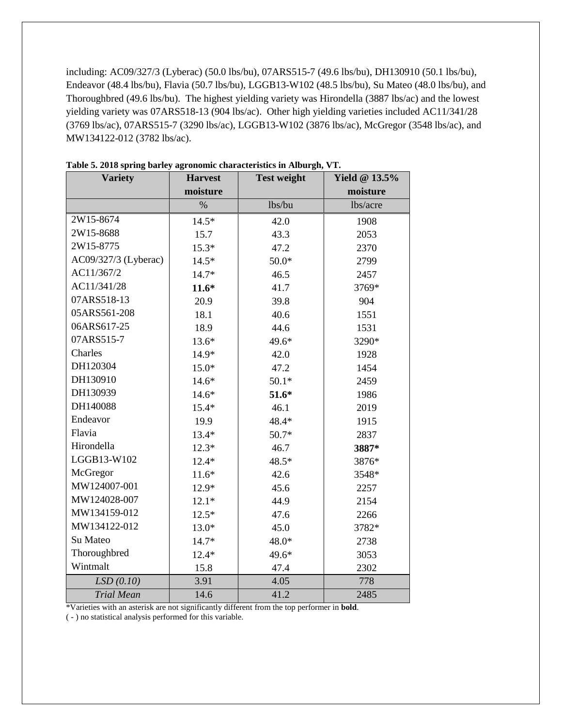including: AC09/327/3 (Lyberac) (50.0 lbs/bu), 07ARS515-7 (49.6 lbs/bu), DH130910 (50.1 lbs/bu), Endeavor (48.4 lbs/bu), Flavia (50.7 lbs/bu), LGGB13-W102 (48.5 lbs/bu), Su Mateo (48.0 lbs/bu), and Thoroughbred (49.6 lbs/bu). The highest yielding variety was Hirondella (3887 lbs/ac) and the lowest yielding variety was 07ARS518-13 (904 lbs/ac). Other high yielding varieties included AC11/341/28 (3769 lbs/ac), 07ARS515-7 (3290 lbs/ac), LGGB13-W102 (3876 lbs/ac), McGregor (3548 lbs/ac), and MW134122-012 (3782 lbs/ac).

| <b>Variety</b>       | <b>Harvest</b> | <b>Test weight</b> | <b>Yield @ 13.5%</b> |  |
|----------------------|----------------|--------------------|----------------------|--|
|                      | moisture       |                    | moisture             |  |
|                      | $\%$           | lbs/bu             | lbs/acre             |  |
| 2W15-8674            | $14.5*$        | 42.0               | 1908                 |  |
| 2W15-8688            | 15.7           | 43.3               | 2053                 |  |
| 2W15-8775            | $15.3*$        | 47.2               | 2370                 |  |
| AC09/327/3 (Lyberac) | $14.5*$        | $50.0*$            | 2799                 |  |
| AC11/367/2           | 14.7*          | 46.5               | 2457                 |  |
| AC11/341/28          | $11.6*$        | 41.7               | 3769*                |  |
| 07ARS518-13          | 20.9           | 39.8               | 904                  |  |
| 05ARS561-208         | 18.1           | 40.6               | 1551                 |  |
| 06ARS617-25          | 18.9           | 44.6               | 1531                 |  |
| 07ARS515-7           | $13.6*$        | 49.6*              | 3290*                |  |
| Charles              | 14.9*          | 42.0               | 1928                 |  |
| DH120304             | $15.0*$        | 47.2               | 1454                 |  |
| DH130910             | $14.6*$        | $50.1*$            | 2459                 |  |
| DH130939             | $14.6*$        | $51.6*$            | 1986                 |  |
| DH140088             | $15.4*$        | 46.1               | 2019                 |  |
| Endeavor             | 19.9           | 48.4*              | 1915                 |  |
| Flavia               | $13.4*$        | $50.7*$            | 2837                 |  |
| Hirondella           | $12.3*$        | 46.7               | 3887*                |  |
| LGGB13-W102          | $12.4*$        | 48.5*              | 3876*                |  |
| McGregor             | $11.6*$        | 42.6               | 3548*                |  |
| MW124007-001         | $12.9*$        | 45.6               | 2257                 |  |
| MW124028-007         | $12.1*$        | 44.9               | 2154                 |  |
| MW134159-012         | $12.5*$        | 47.6               | 2266                 |  |
| MW134122-012         | $13.0*$        | 45.0               | 3782*                |  |
| Su Mateo             | 14.7*          | 48.0*              | 2738                 |  |
| Thoroughbred         | $12.4*$        | 49.6*              | 3053                 |  |
| Wintmalt             | 15.8           | 47.4               | 2302                 |  |
| LSD(0.10)            | 3.91           | 4.05               | 778                  |  |
| <b>Trial Mean</b>    | 14.6           | 41.2               | 2485                 |  |

**Table 5. 2018 spring barley agronomic characteristics in Alburgh, VT.**

\*Varieties with an asterisk are not significantly different from the top performer in **bold**.

( - ) no statistical analysis performed for this variable.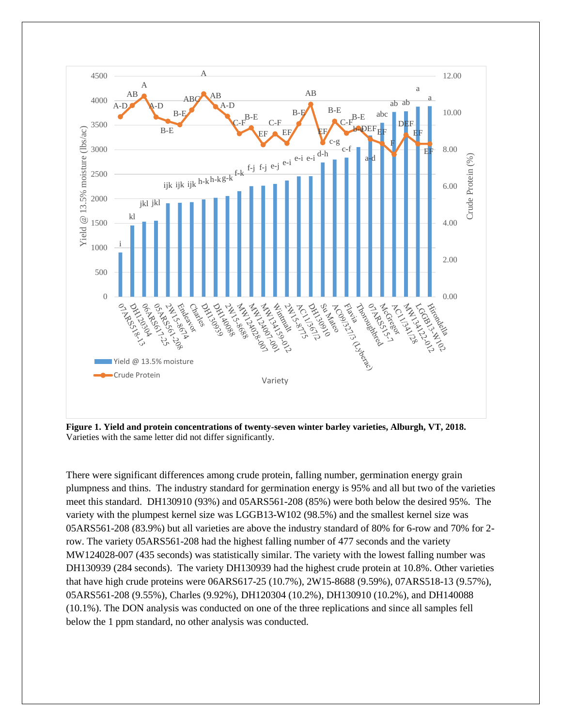

**Figure 1. Yield and protein concentrations of twenty-seven winter barley varieties, Alburgh, VT, 2018.** Varieties with the same letter did not differ significantly.

There were significant differences among crude protein, falling number, germination energy grain plumpness and thins. The industry standard for germination energy is 95% and all but two of the varieties meet this standard. DH130910 (93%) and 05ARS561-208 (85%) were both below the desired 95%. The variety with the plumpest kernel size was LGGB13-W102 (98.5%) and the smallest kernel size was 05ARS561-208 (83.9%) but all varieties are above the industry standard of 80% for 6-row and 70% for 2 row. The variety 05ARS561-208 had the highest falling number of 477 seconds and the variety MW124028-007 (435 seconds) was statistically similar. The variety with the lowest falling number was DH130939 (284 seconds). The variety DH130939 had the highest crude protein at 10.8%. Other varieties that have high crude proteins were 06ARS617-25 (10.7%), 2W15-8688 (9.59%), 07ARS518-13 (9.57%), 05ARS561-208 (9.55%), Charles (9.92%), DH120304 (10.2%), DH130910 (10.2%), and DH140088 (10.1%). The DON analysis was conducted on one of the three replications and since all samples fell below the 1 ppm standard, no other analysis was conducted.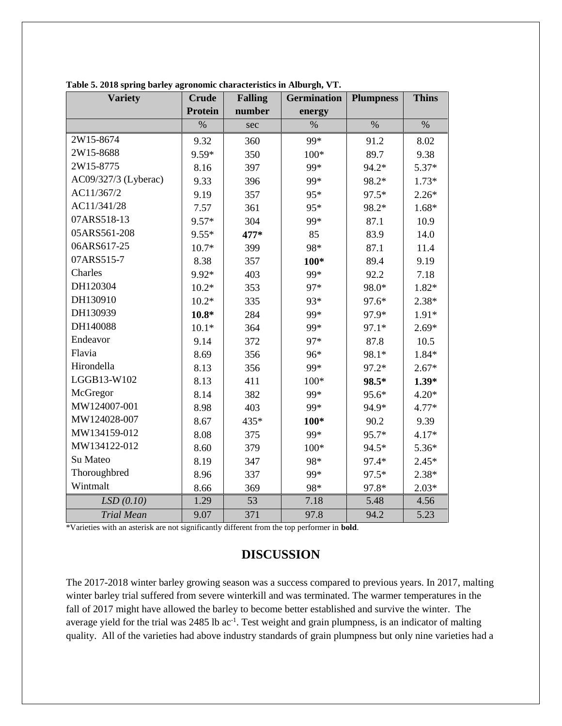| <b>Variety</b>       | <b>Crude</b>   | <b>Falling</b> | <b>Germination</b> | <b>Plumpness</b> | <b>Thins</b> |
|----------------------|----------------|----------------|--------------------|------------------|--------------|
|                      | <b>Protein</b> | number         | energy             |                  |              |
|                      | $\%$           | sec            | $\%$               | $\%$             | $\%$         |
| 2W15-8674            | 9.32           | 360            | 99*                | 91.2             | 8.02         |
| 2W15-8688            | 9.59*          | 350            | $100*$             | 89.7             | 9.38         |
| 2W15-8775            | 8.16           | 397            | 99*                | 94.2*            | $5.37*$      |
| AC09/327/3 (Lyberac) | 9.33           | 396            | 99*                | 98.2*            | $1.73*$      |
| AC11/367/2           | 9.19           | 357            | 95*                | 97.5*            | $2.26*$      |
| AC11/341/28          | 7.57           | 361            | 95*                | 98.2*            | $1.68*$      |
| 07ARS518-13          | 9.57*          | 304            | 99*                | 87.1             | 10.9         |
| 05ARS561-208         | $9.55*$        | 477*           | 85                 | 83.9             | 14.0         |
| 06ARS617-25          | $10.7*$        | 399            | 98*                | 87.1             | 11.4         |
| 07ARS515-7           | 8.38           | 357            | 100*               | 89.4             | 9.19         |
| Charles              | 9.92*          | 403            | 99*                | 92.2             | 7.18         |
| DH120304             | $10.2*$        | 353            | 97*                | 98.0*            | $1.82*$      |
| DH130910             | $10.2*$        | 335            | 93*                | 97.6*            | $2.38*$      |
| DH130939             | $10.8*$        | 284            | 99*                | 97.9*            | $1.91*$      |
| DH140088             | $10.1*$        | 364            | 99*                | 97.1*            | $2.69*$      |
| Endeavor             | 9.14           | 372            | 97*                | 87.8             | 10.5         |
| Flavia               | 8.69           | 356            | 96*                | 98.1*            | $1.84*$      |
| Hirondella           | 8.13           | 356            | 99*                | 97.2*            | $2.67*$      |
| LGGB13-W102          | 8.13           | 411            | $100*$             | 98.5*            | $1.39*$      |
| McGregor             | 8.14           | 382            | 99*                | 95.6*            | $4.20*$      |
| MW124007-001         | 8.98           | 403            | 99*                | 94.9*            | $4.77*$      |
| MW124028-007         | 8.67           | 435*           | 100*               | 90.2             | 9.39         |
| MW134159-012         | 8.08           | 375            | 99*                | 95.7*            | $4.17*$      |
| MW134122-012         | 8.60           | 379            | $100*$             | 94.5*            | $5.36*$      |
| Su Mateo             | 8.19           | 347            | 98*                | 97.4*            | $2.45*$      |
| Thoroughbred         | 8.96           | 337            | 99*                | 97.5*            | $2.38*$      |
| Wintmalt             | 8.66           | 369            | 98*                | 97.8*            | $2.03*$      |
| LSD(0.10)            | 1.29           | 53             | 7.18               | 5.48             | 4.56         |
| <b>Trial Mean</b>    | 9.07           | 371            | 97.8               | 94.2             | 5.23         |

**Table 5. 2018 spring barley agronomic characteristics in Alburgh, VT.**

\*Varieties with an asterisk are not significantly different from the top performer in **bold**.

#### **DISCUSSION**

The 2017-2018 winter barley growing season was a success compared to previous years. In 2017, malting winter barley trial suffered from severe winterkill and was terminated. The warmer temperatures in the fall of 2017 might have allowed the barley to become better established and survive the winter. The average yield for the trial was 2485 lb ac<sup>-1</sup>. Test weight and grain plumpness, is an indicator of malting quality. All of the varieties had above industry standards of grain plumpness but only nine varieties had a